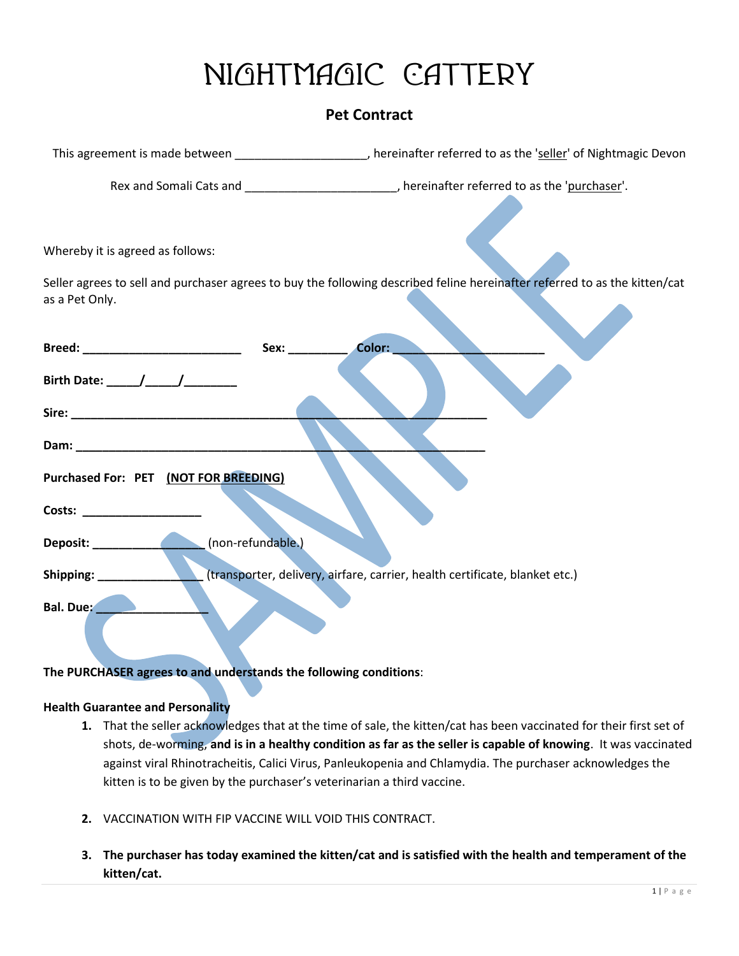## **Nightmagic Cattery**

## **Pet Contract**

|                                                                                                                 | This agreement is made between _____________________, hereinafter referred to as the 'seller' of Nightmagic Devon          |
|-----------------------------------------------------------------------------------------------------------------|----------------------------------------------------------------------------------------------------------------------------|
|                                                                                                                 | Rex and Somali Cats and ___________________________, hereinafter referred to as the 'purchaser'.                           |
| Whereby it is agreed as follows:                                                                                |                                                                                                                            |
| as a Pet Only.                                                                                                  | Seller agrees to sell and purchaser agrees to buy the following described feline hereinafter referred to as the kitten/cat |
|                                                                                                                 | Color:                                                                                                                     |
|                                                                                                                 |                                                                                                                            |
|                                                                                                                 |                                                                                                                            |
| Dam: North Commission and Commission and Commission and Commission and Commission and Commission and Commission |                                                                                                                            |
| Purchased For: PET (NOT FOR BREEDING)                                                                           |                                                                                                                            |
| Costs: _____________________                                                                                    |                                                                                                                            |
| (non-refundable.)                                                                                               |                                                                                                                            |
|                                                                                                                 | (transporter, delivery, airfare, carrier, health certificate, blanket etc.)                                                |
| Bal. Due:                                                                                                       |                                                                                                                            |

**The PURCHASER agrees to and understands the following conditions**:

## **Health Guarantee and Personality**

- **1.** That the seller acknowledges that at the time of sale, the kitten/cat has been vaccinated for their first set of shots, de-worming, **and is in a healthy condition as far as the seller is capable of knowing**. It was vaccinated against viral Rhinotracheitis, Calici Virus, Panleukopenia and Chlamydia. The purchaser acknowledges the kitten is to be given by the purchaser's veterinarian a third vaccine.
- **2.** VACCINATION WITH FIP VACCINE WILL VOID THIS CONTRACT.
- 3. The purchaser has today examined the kitten/cat and is satisfied with the health and temperament of the **kitten/cat.**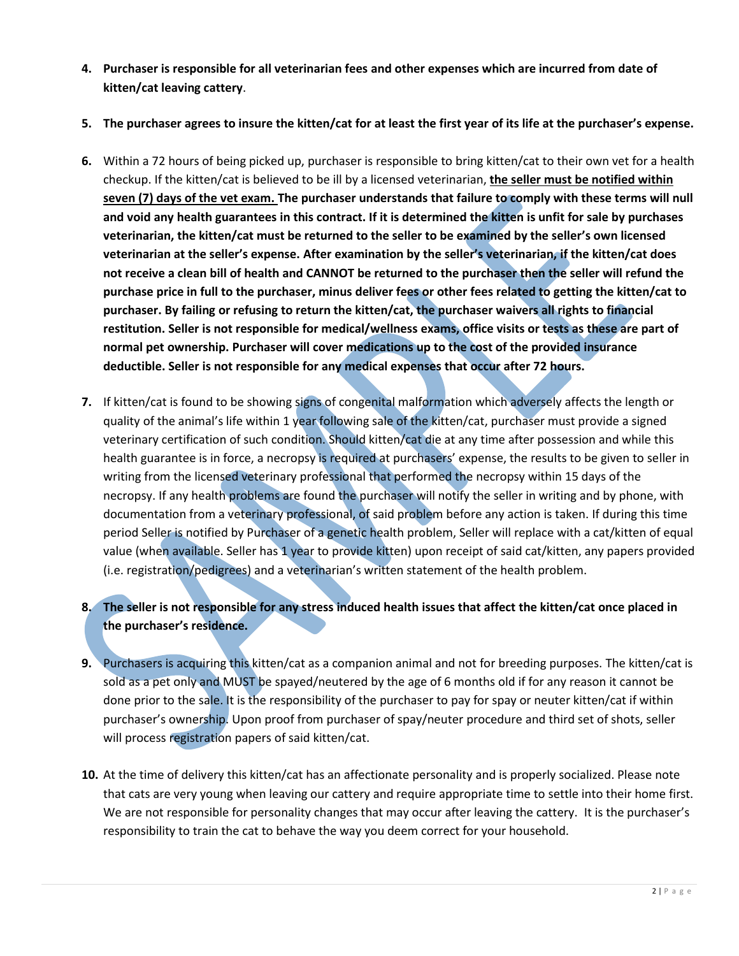- **4. Purchaser is responsible for all veterinarian fees and other expenses which are incurred from date of kitten/cat leaving cattery**.
- 5. The purchaser agrees to insure the kitten/cat for at least the first year of its life at the purchaser's expense.
- **6.** Within a 72 hours of being picked up, purchaser is responsible to bring kitten/cat to their own vet for a health checkup. If the kitten/cat is believed to be ill by a licensed veterinarian, **the seller must be notified within seven (7) days of the vet exam. The purchaser understands that failure to comply with these terms will null and void any health guarantees in this contract. If it is determined the kitten is unfit for sale by purchases veterinarian, the kitten/cat must be returned to the seller to be examined by the seller's own licensed veterinarian at the seller's expense. After examination by the seller's veterinarian, if the kitten/cat does** not receive a clean bill of health and CANNOT be returned to the purchaser then the seller will refund the purchase price in full to the purchaser, minus deliver fees or other fees related to getting the kitten/cat to **purchaser. By failing or refusing to return the kitten/cat, the purchaser waivers all rights to financial** restitution. Seller is not responsible for medical/wellness exams, office visits or tests as these are part of **normal pet ownership. Purchaser will cover medications up to the cost of the provided insurance deductible. Seller is not responsible for any medical expenses that occur after 72 hours.**
- **7.** If kitten/cat is found to be showing signs of congenital malformation which adversely affects the length or quality of the animal's life within 1 year following sale of the kitten/cat, purchaser must provide a signed veterinary certification of such condition. Should kitten/cat die at any time after possession and while this health guarantee is in force, a necropsy is required at purchasers' expense, the results to be given to seller in writing from the licensed veterinary professional that performed the necropsy within 15 days of the necropsy. If any health problems are found the purchaser will notify the seller in writing and by phone, with documentation from a veterinary professional, of said problem before any action is taken. If during this time period Seller is notified by Purchaser of a genetic health problem, Seller will replace with a cat/kitten of equal value (when available. Seller has 1 year to provide kitten) upon receipt of said cat/kitten, any papers provided (i.e. registration/pedigrees) and a veterinarian's written statement of the health problem.
- 8. The seller is not responsible for any stress induced health issues that affect the kitten/cat once placed in **the purchaser's residence.**
- **9.** Purchasers is acquiring this kitten/cat as a companion animal and not for breeding purposes. The kitten/cat is sold as a pet only and MUST be spayed/neutered by the age of 6 months old if for any reason it cannot be done prior to the sale. It is the responsibility of the purchaser to pay for spay or neuter kitten/cat if within purchaser's ownership. Upon proof from purchaser of spay/neuter procedure and third set of shots, seller will process registration papers of said kitten/cat.
- **10.** At the time of delivery this kitten/cat has an affectionate personality and is properly socialized. Please note that cats are very young when leaving our cattery and require appropriate time to settle into their home first. We are not responsible for personality changes that may occur after leaving the cattery. It is the purchaser's responsibility to train the cat to behave the way you deem correct for your household.